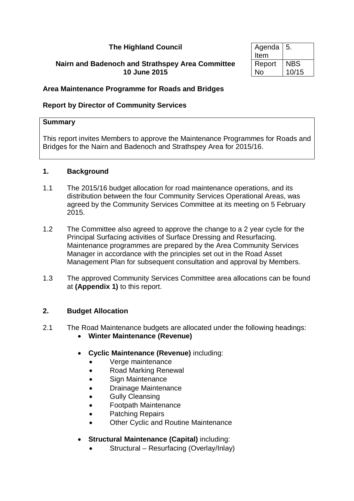### **The Highland Council**

#### **Nairn and Badenoch and Strathspey Area Committee 10 June 2015**

| Agenda | 5.         |
|--------|------------|
| Item   |            |
| Report | <b>NBS</b> |
| N٥     | 10/15      |

#### **Area Maintenance Programme for Roads and Bridges**

#### **Report by Director of Community Services**

#### **Summary**

This report invites Members to approve the Maintenance Programmes for Roads and Bridges for the Nairn and Badenoch and Strathspey Area for 2015/16.

#### **1. Background**

- 1.1 The 2015/16 budget allocation for road maintenance operations, and its distribution between the four Community Services Operational Areas, was agreed by the Community Services Committee at its meeting on 5 February 2015.
- 1.2 The Committee also agreed to approve the change to a 2 year cycle for the Principal Surfacing activities of Surface Dressing and Resurfacing. Maintenance programmes are prepared by the Area Community Services Manager in accordance with the principles set out in the Road Asset Management Plan for subsequent consultation and approval by Members.
- 1.3 The approved Community Services Committee area allocations can be found at **(Appendix 1)** to this report.

#### **2. Budget Allocation**

- 2.1 The Road Maintenance budgets are allocated under the following headings:
	- **Winter Maintenance (Revenue)**
	- **Cyclic Maintenance (Revenue)** including:
		- Verge maintenance
		- Road Marking Renewal
		- Sign Maintenance
		- Drainage Maintenance
		- Gully Cleansing
		- Footpath Maintenance
		- Patching Repairs
		- Other Cyclic and Routine Maintenance
	- **Structural Maintenance (Capital)** including:
		- Structural Resurfacing (Overlay/Inlay)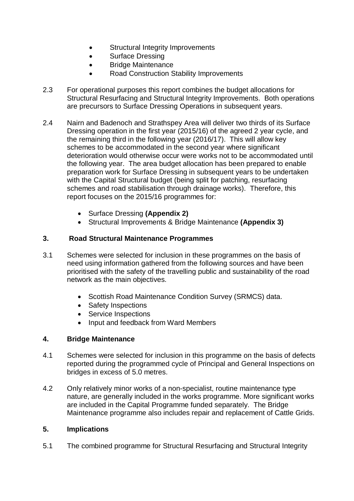- Structural Integrity Improvements
- Surface Dressing
- Bridge Maintenance
- Road Construction Stability Improvements
- 2.3 For operational purposes this report combines the budget allocations for Structural Resurfacing and Structural Integrity Improvements. Both operations are precursors to Surface Dressing Operations in subsequent years.
- 2.4 Nairn and Badenoch and Strathspey Area will deliver two thirds of its Surface Dressing operation in the first year (2015/16) of the agreed 2 year cycle, and the remaining third in the following year (2016/17). This will allow key schemes to be accommodated in the second year where significant deterioration would otherwise occur were works not to be accommodated until the following year. The area budget allocation has been prepared to enable preparation work for Surface Dressing in subsequent years to be undertaken with the Capital Structural budget (being split for patching, resurfacing schemes and road stabilisation through drainage works). Therefore, this report focuses on the 2015/16 programmes for:
	- Surface Dressing **(Appendix 2)**
	- Structural Improvements & Bridge Maintenance **(Appendix 3)**

#### **3. Road Structural Maintenance Programmes**

- 3.1 Schemes were selected for inclusion in these programmes on the basis of need using information gathered from the following sources and have been prioritised with the safety of the travelling public and sustainability of the road network as the main objectives.
	- Scottish Road Maintenance Condition Survey (SRMCS) data.
	- Safety Inspections
	- Service Inspections
	- Input and feedback from Ward Members

#### **4. Bridge Maintenance**

- 4.1 Schemes were selected for inclusion in this programme on the basis of defects reported during the programmed cycle of Principal and General Inspections on bridges in excess of 5.0 metres.
- 4.2 Only relatively minor works of a non-specialist, routine maintenance type nature, are generally included in the works programme. More significant works are included in the Capital Programme funded separately. The Bridge Maintenance programme also includes repair and replacement of Cattle Grids.

#### **5. Implications**

5.1 The combined programme for Structural Resurfacing and Structural Integrity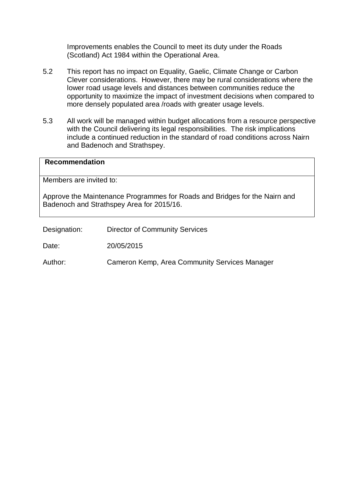Improvements enables the Council to meet its duty under the Roads (Scotland) Act 1984 within the Operational Area.

- 5.2 This report has no impact on Equality, Gaelic, Climate Change or Carbon Clever considerations. However, there may be rural considerations where the lower road usage levels and distances between communities reduce the opportunity to maximize the impact of investment decisions when compared to more densely populated area /roads with greater usage levels.
- 5.3 All work will be managed within budget allocations from a resource perspective with the Council delivering its legal responsibilities. The risk implications include a continued reduction in the standard of road conditions across Nairn and Badenoch and Strathspey.

# **Recommendation** Members are invited to: Approve the Maintenance Programmes for Roads and Bridges for the Nairn and Badenoch and Strathspey Area for 2015/16.

Designation: Director of Community Services

Date: 20/05/2015

Author: Cameron Kemp, Area Community Services Manager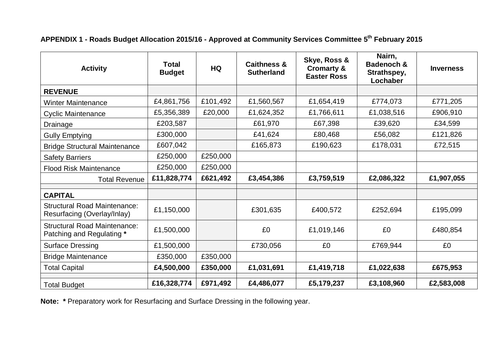### **APPENDIX 1 - Roads Budget Allocation 2015/16 - Approved at Community Services Committee 5th February 2015**

| <b>Activity</b>                                                    | <b>Total</b><br><b>Budget</b> | <b>HQ</b> | <b>Caithness &amp;</b><br><b>Sutherland</b> | Skye, Ross &<br><b>Cromarty &amp;</b><br><b>Easter Ross</b> | Nairn,<br><b>Badenoch &amp;</b><br>Strathspey,<br>Lochaber | <b>Inverness</b> |
|--------------------------------------------------------------------|-------------------------------|-----------|---------------------------------------------|-------------------------------------------------------------|------------------------------------------------------------|------------------|
| <b>REVENUE</b>                                                     |                               |           |                                             |                                                             |                                                            |                  |
| <b>Winter Maintenance</b>                                          | £4,861,756                    | £101,492  | £1,560,567                                  | £1,654,419                                                  | £774,073                                                   | £771,205         |
| <b>Cyclic Maintenance</b>                                          | £5,356,389                    | £20,000   | £1,624,352                                  | £1,766,611                                                  | £1,038,516                                                 | £906,910         |
| Drainage                                                           | £203,587                      |           | £61,970                                     | £67,398                                                     | £39,620                                                    | £34,599          |
| <b>Gully Emptying</b>                                              | £300,000                      |           | £41,624                                     | £80,468                                                     | £56,082                                                    | £121,826         |
| <b>Bridge Structural Maintenance</b>                               | £607,042                      |           | £165,873                                    | £190,623                                                    | £178,031                                                   | £72,515          |
| <b>Safety Barriers</b>                                             | £250,000                      | £250,000  |                                             |                                                             |                                                            |                  |
| <b>Flood Risk Maintenance</b>                                      | £250,000                      | £250,000  |                                             |                                                             |                                                            |                  |
| <b>Total Revenue</b>                                               | £11,828,774                   | £621,492  | £3,454,386                                  | £3,759,519                                                  | £2,086,322                                                 | £1,907,055       |
| <b>CAPITAL</b>                                                     |                               |           |                                             |                                                             |                                                            |                  |
| <b>Structural Road Maintenance:</b><br>Resurfacing (Overlay/Inlay) | £1,150,000                    |           | £301,635                                    | £400,572                                                    | £252,694                                                   | £195,099         |
| <b>Structural Road Maintenance:</b><br>Patching and Regulating *   | £1,500,000                    |           | £0                                          | £1,019,146                                                  | £0                                                         | £480,854         |
| <b>Surface Dressing</b>                                            | £1,500,000                    |           | £730,056                                    | £0                                                          | £769,944                                                   | £0               |
| <b>Bridge Maintenance</b>                                          | £350,000                      | £350,000  |                                             |                                                             |                                                            |                  |
| <b>Total Capital</b>                                               | £4,500,000                    | £350,000  | £1,031,691                                  | £1,419,718                                                  | £1,022,638                                                 | £675,953         |
| <b>Total Budget</b>                                                | £16,328,774                   | £971,492  | £4,486,077                                  | £5,179,237                                                  | £3,108,960                                                 | £2,583,008       |

**Note: \*** Preparatory work for Resurfacing and Surface Dressing in the following year.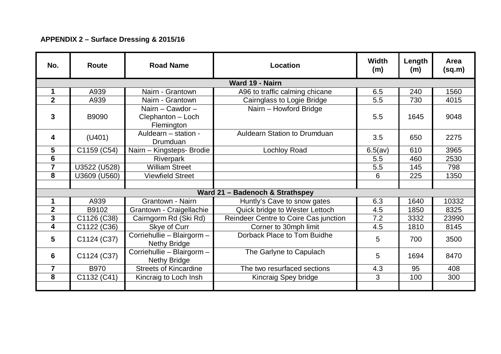### **APPENDIX 2 – Surface Dressing & 2015/16**

| No.            | <b>Route</b>                    | <b>Road Name</b>                                    | Location                              | Width<br>(m) | Length<br>(m) | Area<br>(sq.m) |
|----------------|---------------------------------|-----------------------------------------------------|---------------------------------------|--------------|---------------|----------------|
|                |                                 |                                                     | Ward 19 - Nairn                       |              |               |                |
| 1              | A939                            | Nairn - Grantown                                    | A96 to traffic calming chicane        | 6.5          | 240           | 1560           |
| $\overline{2}$ | A939                            | Nairn - Grantown                                    | Cairnglass to Logie Bridge            | 5.5          | 730           | 4015           |
| 3              | B9090                           | Nairn - Cawdor -<br>Clephanton - Loch<br>Flemington | Nairn - Howford Bridge                | 5.5          | 1645          | 9048           |
| 4              | (U401)                          | Auldearn - station -<br>Drumduan                    | <b>Auldearn Station to Drumduan</b>   | 3.5          | 650           | 2275           |
| 5              | C1159 (C54)                     | Nairn - Kingsteps- Brodie                           | <b>Lochloy Road</b>                   | 6.5(av)      | 610           | 3965           |
| 6              |                                 | Riverpark                                           |                                       | 5.5          | 460           | 2530           |
| $\overline{7}$ | U3522 (U528)                    | <b>William Street</b>                               |                                       | 5.5          | 145           | 798            |
| 8              | U3609 (U560)                    | <b>Viewfield Street</b>                             |                                       | 6            | 225           | 1350           |
|                |                                 |                                                     |                                       |              |               |                |
|                | Ward 21 - Badenoch & Strathspey |                                                     |                                       |              |               |                |
| 1              | A939                            | Grantown - Nairn                                    | Huntly's Cave to snow gates           | 6.3          | 1640          | 10332          |
| $\overline{2}$ | B9102                           | Grantown - Craigellachie                            | Quick bridge to Wester Lettoch        | 4.5          | 1850          | 8325           |
| 3              | C1126 (C38)                     | Cairngorm Rd (Ski Rd)                               | Reindeer Centre to Coire Cas junction | 7.2          | 3332          | 23990          |
| 4              | C1122 (C36)                     | Skye of Curr                                        | Corner to 30mph limit                 | 4.5          | 1810          | 8145           |
| 5              | C1124 (C37)                     | Corriehullie - Blairgorm -<br><b>Nethy Bridge</b>   | Dorback Place to Tom Buidhe           | 5            | 700           | 3500           |
| 6              | C1124 (C37)                     | Corriehullie - Blairgorm -<br><b>Nethy Bridge</b>   | The Garlyne to Capulach               | 5            | 1694          | 8470           |
| 7              | <b>B970</b>                     | <b>Streets of Kincardine</b>                        | The two resurfaced sections           | 4.3          | 95            | 408            |
| 8              | C1132 (C41)                     | Kincraig to Loch Insh                               | Kincraig Spey bridge                  | 3            | 100           | 300            |
|                |                                 |                                                     |                                       |              |               |                |